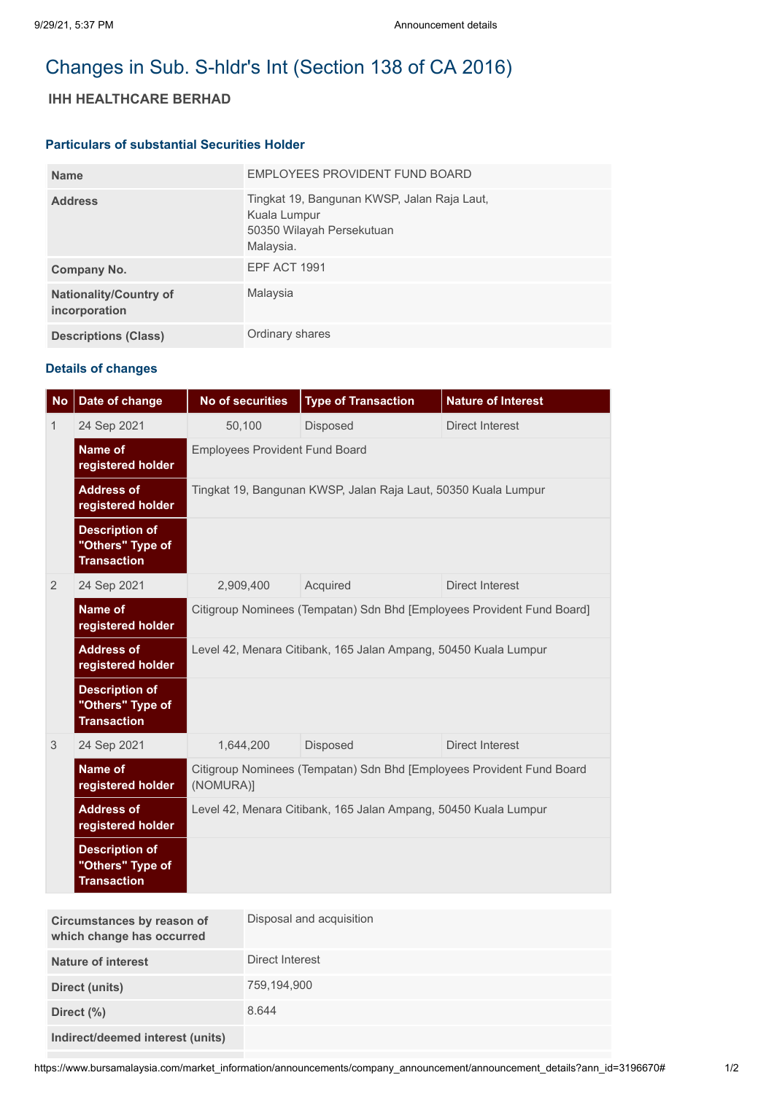# Changes in Sub. S-hldr's Int (Section 138 of CA 2016)

## **IHH HEALTHCARE BERHAD**

#### **Particulars of substantial Securities Holder**

| <b>Name</b>                                    | EMPLOYEES PROVIDENT FUND BOARD                                                                        |
|------------------------------------------------|-------------------------------------------------------------------------------------------------------|
| <b>Address</b>                                 | Tingkat 19, Bangunan KWSP, Jalan Raja Laut,<br>Kuala Lumpur<br>50350 Wilayah Persekutuan<br>Malaysia. |
| Company No.                                    | <b>EPF ACT 1991</b>                                                                                   |
| <b>Nationality/Country of</b><br>incorporation | Malaysia                                                                                              |
| <b>Descriptions (Class)</b>                    | Ordinary shares                                                                                       |

### **Details of changes**

| <b>No</b>    | Date of change                                                  | <b>No of securities</b>                                                            | <b>Type of Transaction</b> | <b>Nature of Interest</b> |  |
|--------------|-----------------------------------------------------------------|------------------------------------------------------------------------------------|----------------------------|---------------------------|--|
| $\mathbf{1}$ | 24 Sep 2021                                                     | 50,100                                                                             | <b>Disposed</b>            | Direct Interest           |  |
|              | Name of<br>registered holder                                    | <b>Employees Provident Fund Board</b>                                              |                            |                           |  |
|              | <b>Address of</b><br>registered holder                          | Tingkat 19, Bangunan KWSP, Jalan Raja Laut, 50350 Kuala Lumpur                     |                            |                           |  |
|              | <b>Description of</b><br>"Others" Type of<br><b>Transaction</b> |                                                                                    |                            |                           |  |
| 2            | 24 Sep 2021                                                     | 2,909,400                                                                          | Acquired                   | <b>Direct Interest</b>    |  |
|              | Name of<br>registered holder                                    | Citigroup Nominees (Tempatan) Sdn Bhd [Employees Provident Fund Board]             |                            |                           |  |
|              | <b>Address of</b><br>registered holder                          | Level 42, Menara Citibank, 165 Jalan Ampang, 50450 Kuala Lumpur                    |                            |                           |  |
|              | <b>Description of</b><br>"Others" Type of<br><b>Transaction</b> |                                                                                    |                            |                           |  |
| 3            | 24 Sep 2021                                                     | 1,644,200                                                                          | <b>Disposed</b>            | <b>Direct Interest</b>    |  |
|              | Name of<br>registered holder                                    | Citigroup Nominees (Tempatan) Sdn Bhd [Employees Provident Fund Board<br>(NOMURA)] |                            |                           |  |
|              | <b>Address of</b><br>registered holder                          | Level 42, Menara Citibank, 165 Jalan Ampang, 50450 Kuala Lumpur                    |                            |                           |  |
|              | <b>Description of</b><br>"Others" Type of<br><b>Transaction</b> |                                                                                    |                            |                           |  |

| Circumstances by reason of<br>which change has occurred | Disposal and acquisition |
|---------------------------------------------------------|--------------------------|
| <b>Nature of interest</b>                               | Direct Interest          |
| Direct (units)                                          | 759,194,900              |
| Direct (%)                                              | 8.644                    |
| Indirect/deemed interest (units)                        |                          |